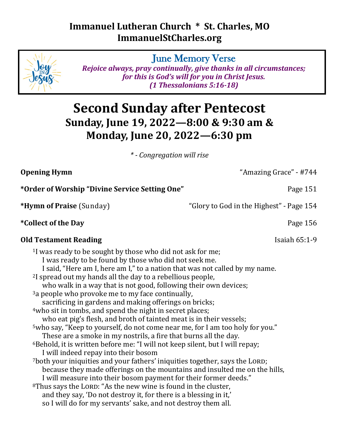## **Immanuel Lutheran Church \* St. Charles, MO ImmanuelStCharles.org**

June Memory Verse

*Rejoice always, pray continually, give thanks in all circumstances; for this is God's will for you in Christ Jesus. (1 Thessalonians 5:16-18)*

# **Second Sunday after Pentecost Sunday, June 19, 2022—8:00 & 9:30 am & Monday, June 20, 2022—6:30 pm**

*\* - Congregation will rise*

| <b>Opening Hymn</b>                                                                                                                                                                                                                                                                                                                                                                                                                                                                                                                                                                                                                                                                                                                                                                                                                                                                                                                                                                                                                                                                                                                                                                                                                                                                                                                                                                 | "Amazing Grace" - #744                   |
|-------------------------------------------------------------------------------------------------------------------------------------------------------------------------------------------------------------------------------------------------------------------------------------------------------------------------------------------------------------------------------------------------------------------------------------------------------------------------------------------------------------------------------------------------------------------------------------------------------------------------------------------------------------------------------------------------------------------------------------------------------------------------------------------------------------------------------------------------------------------------------------------------------------------------------------------------------------------------------------------------------------------------------------------------------------------------------------------------------------------------------------------------------------------------------------------------------------------------------------------------------------------------------------------------------------------------------------------------------------------------------------|------------------------------------------|
| *Order of Worship "Divine Service Setting One"                                                                                                                                                                                                                                                                                                                                                                                                                                                                                                                                                                                                                                                                                                                                                                                                                                                                                                                                                                                                                                                                                                                                                                                                                                                                                                                                      | Page 151                                 |
| *Hymn of Praise (Sunday)                                                                                                                                                                                                                                                                                                                                                                                                                                                                                                                                                                                                                                                                                                                                                                                                                                                                                                                                                                                                                                                                                                                                                                                                                                                                                                                                                            | "Glory to God in the Highest" - Page 154 |
| *Collect of the Day                                                                                                                                                                                                                                                                                                                                                                                                                                                                                                                                                                                                                                                                                                                                                                                                                                                                                                                                                                                                                                                                                                                                                                                                                                                                                                                                                                 | Page 156                                 |
| <b>Old Testament Reading</b>                                                                                                                                                                                                                                                                                                                                                                                                                                                                                                                                                                                                                                                                                                                                                                                                                                                                                                                                                                                                                                                                                                                                                                                                                                                                                                                                                        | Isaiah $65:1-9$                          |
| <sup>1</sup> I was ready to be sought by those who did not ask for me;<br>I was ready to be found by those who did not seek me.<br>I said, "Here am I, here am I," to a nation that was not called by my name.<br><sup>2</sup> I spread out my hands all the day to a rebellious people,<br>who walk in a way that is not good, following their own devices;<br><sup>3</sup> a people who provoke me to my face continually,<br>sacrificing in gardens and making offerings on bricks;<br>4who sit in tombs, and spend the night in secret places;<br>who eat pig's flesh, and broth of tainted meat is in their vessels;<br><sup>5</sup> who say, "Keep to yourself, do not come near me, for I am too holy for you."<br>These are a smoke in my nostrils, a fire that burns all the day.<br><sup>6</sup> Behold, it is written before me: "I will not keep silent, but I will repay;<br>I will indeed repay into their bosom<br>7both your iniquities and your fathers' iniquities together, says the LORD;<br>because they made offerings on the mountains and insulted me on the hills,<br>I will measure into their bosom payment for their former deeds."<br><sup>8</sup> Thus says the LORD: "As the new wine is found in the cluster,<br>and they say, 'Do not destroy it, for there is a blessing in it,'<br>so I will do for my servants' sake, and not destroy them all. |                                          |

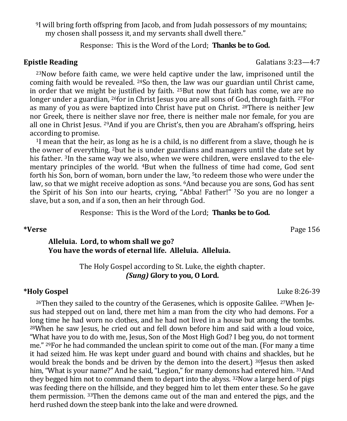<sup>9</sup>I will bring forth offspring from Jacob, and from Judah possessors of my mountains; my chosen shall possess it, and my servants shall dwell there."

Response: This is the Word of the Lord; **Thanks be to God.**

 $23$ Now before faith came, we were held captive under the law, imprisoned until the coming faith would be revealed. 24So then, the law was our guardian until Christ came, in order that we might be justified by faith.  $25$ But now that faith has come, we are no longer under a guardian, 26for in Christ Jesus you are all sons of God, through faith. 27For as many of you as were baptized into Christ have put on Christ. 28There is neither Jew nor Greek, there is neither slave nor free, there is neither male nor female, for you are all one in Christ Jesus.  $^{29}$ And if you are Christ's, then you are Abraham's offspring, heirs according to promise.

<sup>1</sup>I mean that the heir, as long as he is a child, is no different from a slave, though he is the owner of everything, 2but he is under guardians and managers until the date set by his father. 3In the same way we also, when we were children, were enslaved to the elementary principles of the world. 4But when the fullness of time had come, God sent forth his Son, born of woman, born under the law, 5to redeem those who were under the law, so that we might receive adoption as sons. <sup>6</sup>And because you are sons, God has sent the Spirit of his Son into our hearts, crying, "Abba! Father!" 7So you are no longer a slave, but a son, and if a son, then an heir through God.

Response: This is the Word of the Lord; **Thanks be to God.**

#### **\*Verse** Page 156

#### **Alleluia. Lord, to whom shall we go? You have the words of eternal life. Alleluia. Alleluia.**

The Holy Gospel according to St. Luke, the eighth chapter. *(Sung)* **Glory to you, O Lord.**

#### **\*Holy Gospel** Luke 8:26-39

 $26$ Then they sailed to the country of the Gerasenes, which is opposite Galilee.  $27$ When Jesus had stepped out on land, there met him a man from the city who had demons. For a long time he had worn no clothes, and he had not lived in a house but among the tombs. <sup>28</sup>When he saw Jesus, he cried out and fell down before him and said with a loud voice, "What have you to do with me, Jesus, Son of the Most High God? I beg you, do not torment me." 29For he had commanded the unclean spirit to come out of the man. (For many a time it had seized him. He was kept under guard and bound with chains and shackles, but he would break the bonds and be driven by the demon into the desert.) 30Jesus then asked him, "What is your name?" And he said, "Legion," for many demons had entered him. 31And they begged him not to command them to depart into the abyss.  $32$ Now a large herd of pigs was feeding there on the hillside, and they begged him to let them enter these. So he gave them permission. 33Then the demons came out of the man and entered the pigs, and the herd rushed down the steep bank into the lake and were drowned.

**Epistle Reading Galatians 3:23—4:7**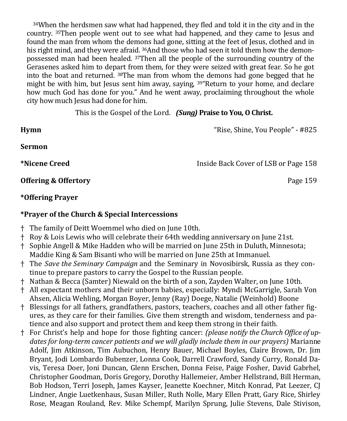<sup>34</sup>When the herdsmen saw what had happened, they fled and told it in the city and in the country. 35Then people went out to see what had happened, and they came to Jesus and found the man from whom the demons had gone, sitting at the feet of Jesus, clothed and in his right mind, and they were afraid. 36And those who had seen it told them how the demonpossessed man had been healed. 37Then all the people of the surrounding country of the Gerasenes asked him to depart from them, for they were seized with great fear. So he got into the boat and returned. 38The man from whom the demons had gone begged that he might be with him, but Jesus sent him away, saying, <sup>39</sup> Return to your home, and declare how much God has done for you." And he went away, proclaiming throughout the whole city how much Jesus had done for him.

This is the Gospel of the Lord. *(Sung)* **Praise to You, O Christ.**

**Hymn** "Rise, Shine, You People" - #825

**Sermon**

**\*Nicene Creed** Inside Back Cover of LSB or Page 158

**Offering & Offertory Page 159** 

### **\*Offering Prayer**

#### **\*Prayer of the Church & Special Intercessions**

- † The family of Deitt Woemmel who died on June 10th.
- † Roy & Lois Lewis who will celebrate their 64th wedding anniversary on June 21st.
- † Sophie Angell & Mike Hadden who will be married on June 25th in Duluth, Minnesota; Maddie King & Sam Bisanti who will be married on June 25th at Immanuel.
- † The *Save the Seminary Campaign* and the Seminary in Novosibirsk, Russia as they continue to prepare pastors to carry the Gospel to the Russian people.
- † Nathan & Becca (Samter) Niewald on the birth of a son, Zayden Walter, on June 10th.
- † All expectant mothers and their unborn babies, especially: Myndi McGarrigle, Sarah Von Ahsen, Alicia Wehling, Morgan Boyer, Jenny (Ray) Doege, Natalie (Weinhold) Boone
- † Blessings for all fathers, grandfathers, pastors, teachers, coaches and all other father figures, as they care for their families. Give them strength and wisdom, tenderness and patience and also support and protect them and keep them strong in their faith.
- † For Christ's help and hope for those fighting cancer: *(please notify the Church Office of updates for long-term cancer patients and we will gladly include them in our prayers)* Marianne Adolf, Jim Atkinson, Tim Aubuchon, Henry Bauer, Michael Boyles, Claire Brown, Dr. Jim Bryant, Jodi Lombardo Bubenzer, Lonna Cook, Darrell Crawford, Sandy Curry, Ronald Davis, Teresa Doer, Joni Duncan, Glenn Erschen, Donna Feise, Paige Fosher, David Gabrhel, Christopher Goodman, Doris Gregory, Dorothy Hallemeier, Amber Hellstrand, Bill Herman, Bob Hodson, Terri Joseph, James Kayser, Jeanette Koechner, Mitch Konrad, Pat Leezer, CJ Lindner, Angie Luetkenhaus, Susan Miller, Ruth Nolle, Mary Ellen Pratt, Gary Rice, Shirley Rose, Meagan Rouland, Rev. Mike Schempf, Marilyn Sprung, Julie Stevens, Dale Stivison,